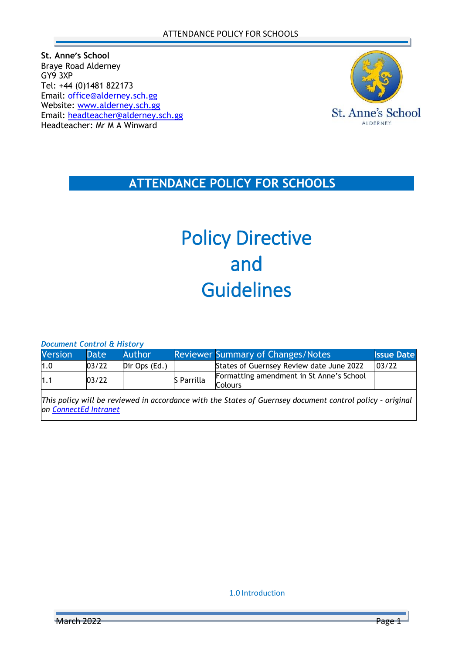**St. Anne's School** Braye Road Alderney GY9 3XP Tel: +44 (0)1481 822173 Email: [office@alderney.sch.gg](mailto:office@alderney.sch.gg) Website: [www.alderney.sch.gg](http://www.alderney.sch.gg/) Email: [headteacher@alderney.sch.gg](mailto:headteacher@alderney.sch.gg) Headteacher: Mr M A Winward



### **ATTENDANCE POLICY FOR SCHOOLS**

# Policy Directive and **Guidelines**

*Document Control & History*

| <b>Version</b> | Date  | <b>Author</b> |            | <b>Reviewer Summary of Changes/Notes</b>            | <b>Issue Date</b> |
|----------------|-------|---------------|------------|-----------------------------------------------------|-------------------|
| 1.0            | 03/22 | Dir Ops (Ed.) |            | States of Guernsey Review date June 2022            | 03/22             |
| 1.1            | 03/22 |               | S Parrilla | Formatting amendment in St Anne's School<br>Colours |                   |
|                |       |               |            |                                                     |                   |

*This policy will be reviewed in accordance with the States of Guernsey document control policy - original on [ConnectEd Intranet](http://bridge.sogcs.int.gov.gg/teamsite/education/policies/Health%20%20SafetyBuildings/Forms/AllItems.aspx)*

1.0 Introduction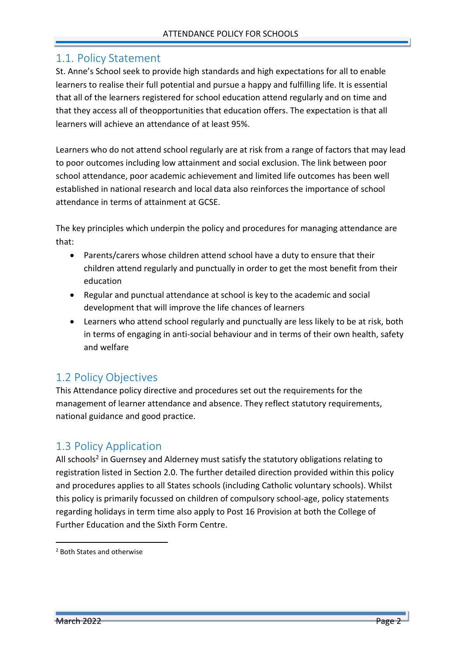#### 1.1. Policy Statement

St. Anne's School seek to provide high standards and high expectations for all to enable learners to realise their full potential and pursue a happy and fulfilling life. It is essential that all of the learners registered for school education attend regularly and on time and that they access all of theopportunities that education offers. The expectation is that all learners will achieve an attendance of at least 95%.

Learners who do not attend school regularly are at risk from a range of factors that may lead to poor outcomes including low attainment and social exclusion. The link between poor school attendance, poor academic achievement and limited life outcomes has been well established in national research and local data also reinforces the importance of school attendance in terms of attainment at GCSE.

The key principles which underpin the policy and procedures for managing attendance are that:

- Parents/carers whose children attend school have a duty to ensure that their children attend regularly and punctually in order to get the most benefit from their education
- Regular and punctual attendance at school is key to the academic and social development that will improve the life chances of learners
- Learners who attend school regularly and punctually are less likely to be at risk, both in terms of engaging in anti-social behaviour and in terms of their own health, safety and welfare

### 1.2 Policy Objectives

This Attendance policy directive and procedures set out the requirements for the management of learner attendance and absence. They reflect statutory requirements, national guidance and good practice.

### 1.3 Policy Application

All schools<sup>2</sup> in Guernsey and Alderney must satisfy the statutory obligations relating to registration listed in Section 2.0. The further detailed direction provided within this policy and procedures applies to all States schools (including Catholic voluntary schools). Whilst this policy is primarily focussed on children of compulsory school-age, policy statements regarding holidays in term time also apply to Post 16 Provision at both the College of Further Education and the Sixth Form Centre.

<sup>2</sup> Both States and otherwise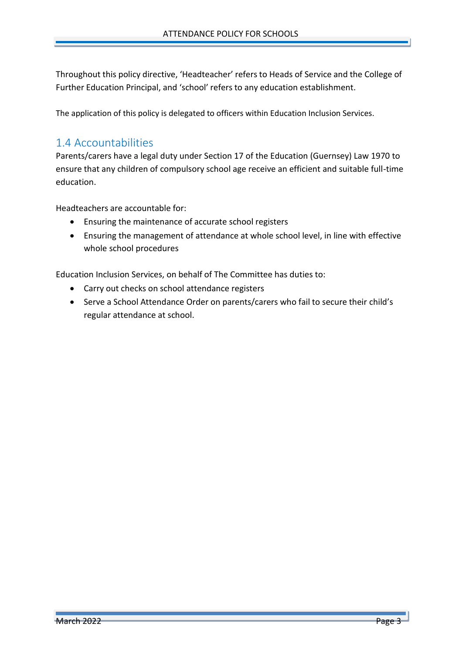Throughout this policy directive, 'Headteacher' refers to Heads of Service and the College of Further Education Principal, and 'school' refers to any education establishment.

The application of this policy is delegated to officers within Education Inclusion Services.

#### 1.4 Accountabilities

Parents/carers have a legal duty under Section 17 of the Education (Guernsey) Law 1970 to ensure that any children of compulsory school age receive an efficient and suitable full-time education.

Headteachers are accountable for:

- Ensuring the maintenance of accurate school registers
- Ensuring the management of attendance at whole school level, in line with effective whole school procedures

Education Inclusion Services, on behalf of The Committee has duties to:

- Carry out checks on school attendance registers
- Serve a School Attendance Order on parents/carers who fail to secure their child's regular attendance at school.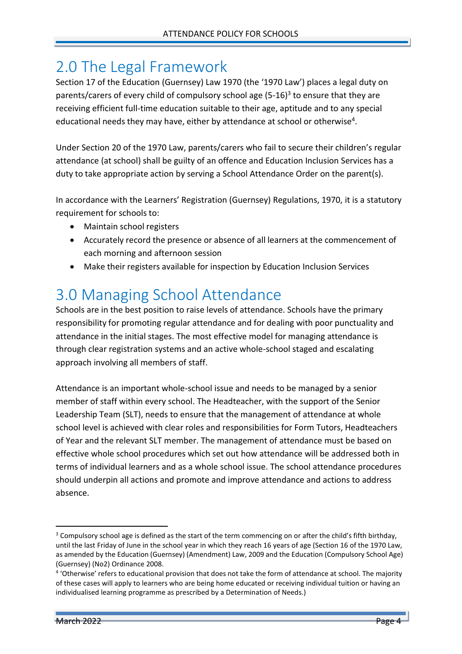### 2.0 The Legal Framework

Section 17 of the Education (Guernsey) Law 1970 (the '1970 Law') places a legal duty on parents/carers of every child of compulsory school age (5-16)<sup>3</sup> to ensure that they are receiving efficient full-time education suitable to their age, aptitude and to any special educational needs they may have, either by attendance at school or otherwise<sup>4</sup>.

Under Section 20 of the 1970 Law, parents/carers who fail to secure their children's regular attendance (at school) shall be guilty of an offence and Education Inclusion Services has a duty to take appropriate action by serving a School Attendance Order on the parent(s).

In accordance with the Learners' Registration (Guernsey) Regulations, 1970, it is a statutory requirement for schools to:

- Maintain school registers
- Accurately record the presence or absence of all learners at the commencement of each morning and afternoon session
- Make their registers available for inspection by Education Inclusion Services

### 3.0 Managing School Attendance

Schools are in the best position to raise levels of attendance. Schools have the primary responsibility for promoting regular attendance and for dealing with poor punctuality and attendance in the initial stages. The most effective model for managing attendance is through clear registration systems and an active whole-school staged and escalating approach involving all members of staff.

Attendance is an important whole-school issue and needs to be managed by a senior member of staff within every school. The Headteacher, with the support of the Senior Leadership Team (SLT), needs to ensure that the management of attendance at whole school level is achieved with clear roles and responsibilities for Form Tutors, Headteachers of Year and the relevant SLT member. The management of attendance must be based on effective whole school procedures which set out how attendance will be addressed both in terms of individual learners and as a whole school issue. The school attendance procedures should underpin all actions and promote and improve attendance and actions to address absence.

<sup>&</sup>lt;sup>3</sup> Compulsory school age is defined as the start of the term commencing on or after the child's fifth birthday, until the last Friday of June in the school year in which they reach 16 years of age (Section 16 of the 1970 Law, as amended by the Education (Guernsey) (Amendment) Law, 2009 and the Education (Compulsory School Age) (Guernsey) (No2) Ordinance 2008.

<sup>&</sup>lt;sup>4</sup> 'Otherwise' refers to educational provision that does not take the form of attendance at school. The majority of these cases will apply to learners who are being home educated or receiving individual tuition or having an individualised learning programme as prescribed by a Determination of Needs.)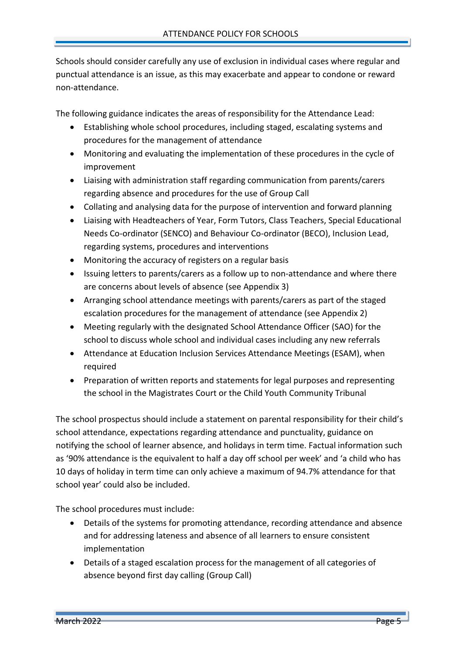Schools should consider carefully any use of exclusion in individual cases where regular and punctual attendance is an issue, as this may exacerbate and appear to condone or reward non-attendance.

The following guidance indicates the areas of responsibility for the Attendance Lead:

- Establishing whole school procedures, including staged, escalating systems and procedures for the management of attendance
- Monitoring and evaluating the implementation of these procedures in the cycle of improvement
- Liaising with administration staff regarding communication from parents/carers regarding absence and procedures for the use of Group Call
- Collating and analysing data for the purpose of intervention and forward planning
- Liaising with Headteachers of Year, Form Tutors, Class Teachers, Special Educational Needs Co-ordinator (SENCO) and Behaviour Co-ordinator (BECO), Inclusion Lead, regarding systems, procedures and interventions
- Monitoring the accuracy of registers on a regular basis
- Issuing letters to parents/carers as a follow up to non-attendance and where there are concerns about levels of absence (see Appendix 3)
- Arranging school attendance meetings with parents/carers as part of the staged escalation procedures for the management of attendance (see Appendix 2)
- Meeting regularly with the designated School Attendance Officer (SAO) for the school to discuss whole school and individual cases including any new referrals
- Attendance at Education Inclusion Services Attendance Meetings (ESAM), when required
- Preparation of written reports and statements for legal purposes and representing the school in the Magistrates Court or the Child Youth Community Tribunal

The school prospectus should include a statement on parental responsibility for their child's school attendance, expectations regarding attendance and punctuality, guidance on notifying the school of learner absence, and holidays in term time. Factual information such as '90% attendance is the equivalent to half a day off school per week' and 'a child who has 10 days of holiday in term time can only achieve a maximum of 94.7% attendance for that school year' could also be included.

The school procedures must include:

- Details of the systems for promoting attendance, recording attendance and absence and for addressing lateness and absence of all learners to ensure consistent implementation
- Details of a staged escalation process for the management of all categories of absence beyond first day calling (Group Call)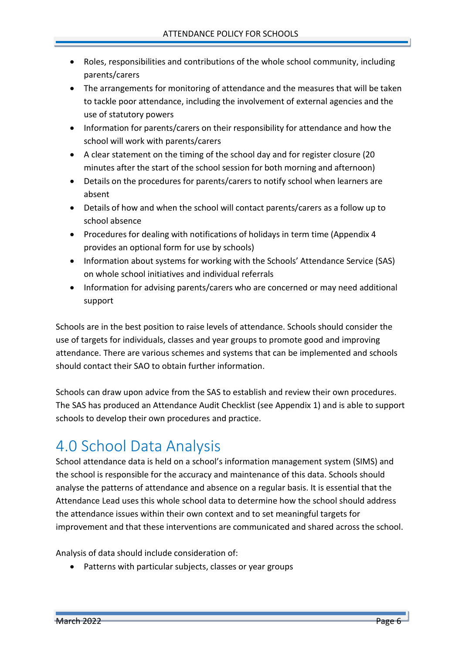- Roles, responsibilities and contributions of the whole school community, including parents/carers
- The arrangements for monitoring of attendance and the measures that will be taken to tackle poor attendance, including the involvement of external agencies and the use of statutory powers
- Information for parents/carers on their responsibility for attendance and how the school will work with parents/carers
- A clear statement on the timing of the school day and for register closure (20 minutes after the start of the school session for both morning and afternoon)
- Details on the procedures for parents/carers to notify school when learners are absent
- Details of how and when the school will contact parents/carers as a follow up to school absence
- Procedures for dealing with notifications of holidays in term time (Appendix 4 provides an optional form for use by schools)
- Information about systems for working with the Schools' Attendance Service (SAS) on whole school initiatives and individual referrals
- Information for advising parents/carers who are concerned or may need additional support

Schools are in the best position to raise levels of attendance. Schools should consider the use of targets for individuals, classes and year groups to promote good and improving attendance. There are various schemes and systems that can be implemented and schools should contact their SAO to obtain further information.

Schools can draw upon advice from the SAS to establish and review their own procedures. The SAS has produced an Attendance Audit Checklist (see Appendix 1) and is able to support schools to develop their own procedures and practice.

### 4.0 School Data Analysis

School attendance data is held on a school's information management system (SIMS) and the school is responsible for the accuracy and maintenance of this data. Schools should analyse the patterns of attendance and absence on a regular basis. It is essential that the Attendance Lead uses this whole school data to determine how the school should address the attendance issues within their own context and to set meaningful targets for improvement and that these interventions are communicated and shared across the school.

Analysis of data should include consideration of:

• Patterns with particular subjects, classes or year groups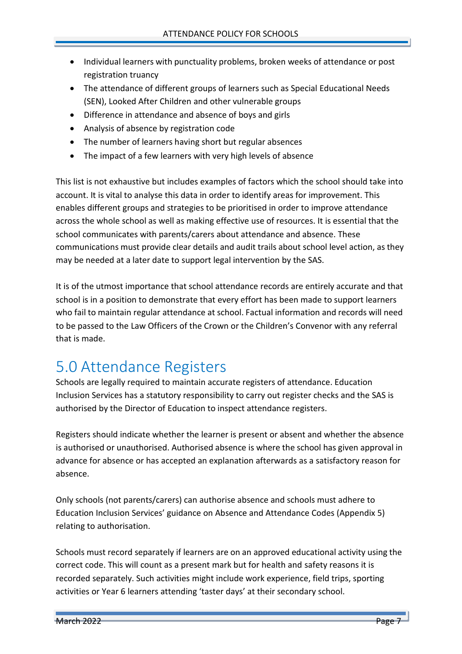- Individual learners with punctuality problems, broken weeks of attendance or post registration truancy
- The attendance of different groups of learners such as Special Educational Needs (SEN), Looked After Children and other vulnerable groups
- Difference in attendance and absence of boys and girls
- Analysis of absence by registration code
- The number of learners having short but regular absences
- The impact of a few learners with very high levels of absence

This list is not exhaustive but includes examples of factors which the school should take into account. It is vital to analyse this data in order to identify areas for improvement. This enables different groups and strategies to be prioritised in order to improve attendance across the whole school as well as making effective use of resources. It is essential that the school communicates with parents/carers about attendance and absence. These communications must provide clear details and audit trails about school level action, as they may be needed at a later date to support legal intervention by the SAS.

It is of the utmost importance that school attendance records are entirely accurate and that school is in a position to demonstrate that every effort has been made to support learners who fail to maintain regular attendance at school. Factual information and records will need to be passed to the Law Officers of the Crown or the Children's Convenor with any referral that is made.

### 5.0 Attendance Registers

Schools are legally required to maintain accurate registers of attendance. Education Inclusion Services has a statutory responsibility to carry out register checks and the SAS is authorised by the Director of Education to inspect attendance registers.

Registers should indicate whether the learner is present or absent and whether the absence is authorised or unauthorised. Authorised absence is where the school has given approval in advance for absence or has accepted an explanation afterwards as a satisfactory reason for absence.

Only schools (not parents/carers) can authorise absence and schools must adhere to Education Inclusion Services' guidance on Absence and Attendance Codes (Appendix 5) relating to authorisation.

Schools must record separately if learners are on an approved educational activity using the correct code. This will count as a present mark but for health and safety reasons it is recorded separately. Such activities might include work experience, field trips, sporting activities or Year 6 learners attending 'taster days' at their secondary school.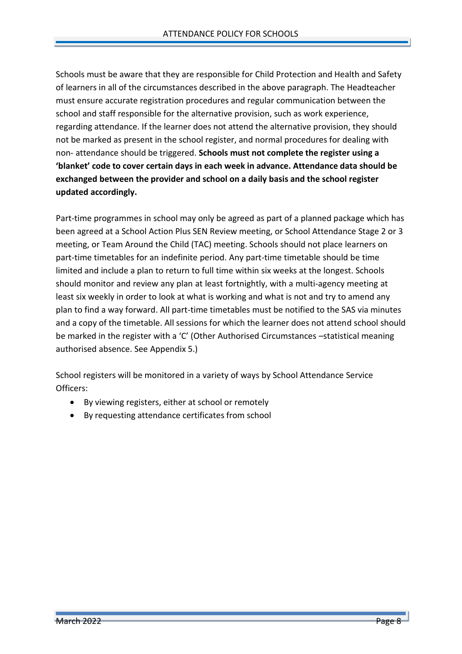Schools must be aware that they are responsible for Child Protection and Health and Safety of learners in all of the circumstances described in the above paragraph. The Headteacher must ensure accurate registration procedures and regular communication between the school and staff responsible for the alternative provision, such as work experience, regarding attendance. If the learner does not attend the alternative provision, they should not be marked as present in the school register, and normal procedures for dealing with non- attendance should be triggered. **Schools must not complete the register using a 'blanket' code to cover certain days in each week in advance. Attendance data should be exchanged between the provider and school on a daily basis and the school register updated accordingly.**

Part-time programmes in school may only be agreed as part of a planned package which has been agreed at a School Action Plus SEN Review meeting, or School Attendance Stage 2 or 3 meeting, or Team Around the Child (TAC) meeting. Schools should not place learners on part-time timetables for an indefinite period. Any part-time timetable should be time limited and include a plan to return to full time within six weeks at the longest. Schools should monitor and review any plan at least fortnightly, with a multi-agency meeting at least six weekly in order to look at what is working and what is not and try to amend any plan to find a way forward. All part-time timetables must be notified to the SAS via minutes and a copy of the timetable. All sessions for which the learner does not attend school should be marked in the register with a 'C' (Other Authorised Circumstances –statistical meaning authorised absence. See Appendix 5.)

School registers will be monitored in a variety of ways by School Attendance Service Officers:

- By viewing registers, either at school or remotely
- By requesting attendance certificates from school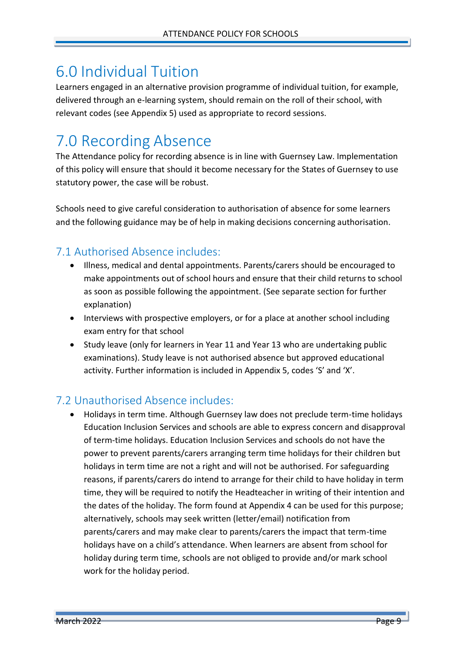### 6.0 Individual Tuition

Learners engaged in an alternative provision programme of individual tuition, for example, delivered through an e-learning system, should remain on the roll of their school, with relevant codes (see Appendix 5) used as appropriate to record sessions.

# 7.0 Recording Absence

The Attendance policy for recording absence is in line with Guernsey Law. Implementation of this policy will ensure that should it become necessary for the States of Guernsey to use statutory power, the case will be robust.

Schools need to give careful consideration to authorisation of absence for some learners and the following guidance may be of help in making decisions concerning authorisation.

### 7.1 Authorised Absence includes:

- Illness, medical and dental appointments. Parents/carers should be encouraged to make appointments out of school hours and ensure that their child returns to school as soon as possible following the appointment. (See separate section for further explanation)
- Interviews with prospective employers, or for a place at another school including exam entry for that school
- Study leave (only for learners in Year 11 and Year 13 who are undertaking public examinations). Study leave is not authorised absence but approved educational activity. Further information is included in Appendix 5, codes 'S' and 'X'.

### 7.2 Unauthorised Absence includes:

• Holidays in term time. Although Guernsey law does not preclude term-time holidays Education Inclusion Services and schools are able to express concern and disapproval of term-time holidays. Education Inclusion Services and schools do not have the power to prevent parents/carers arranging term time holidays for their children but holidays in term time are not a right and will not be authorised. For safeguarding reasons, if parents/carers do intend to arrange for their child to have holiday in term time, they will be required to notify the Headteacher in writing of their intention and the dates of the holiday. The form found at Appendix 4 can be used for this purpose; alternatively, schools may seek written (letter/email) notification from parents/carers and may make clear to parents/carers the impact that term-time holidays have on a child's attendance. When learners are absent from school for holiday during term time, schools are not obliged to provide and/or mark school work for the holiday period.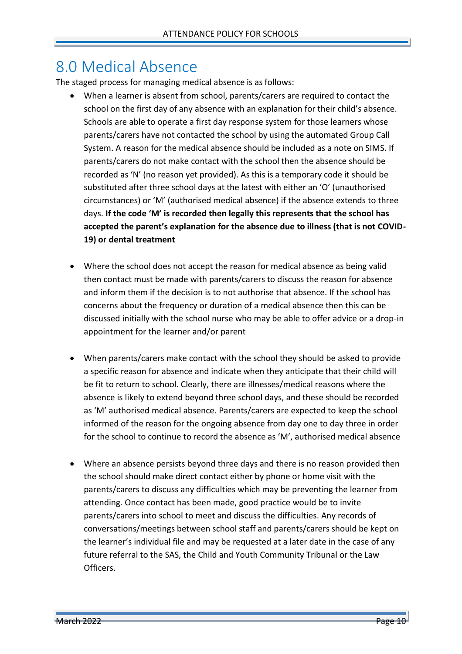### 8.0 Medical Absence

The staged process for managing medical absence is as follows:

- When a learner is absent from school, parents/carers are required to contact the school on the first day of any absence with an explanation for their child's absence. Schools are able to operate a first day response system for those learners whose parents/carers have not contacted the school by using the automated Group Call System. A reason for the medical absence should be included as a note on SIMS. If parents/carers do not make contact with the school then the absence should be recorded as 'N' (no reason yet provided). As this is a temporary code it should be substituted after three school days at the latest with either an 'O' (unauthorised circumstances) or 'M' (authorised medical absence) if the absence extends to three days. **If the code 'M' is recorded then legally this represents that the school has accepted the parent's explanation for the absence due to illness (that is not COVID-19) or dental treatment**
- Where the school does not accept the reason for medical absence as being valid then contact must be made with parents/carers to discuss the reason for absence and inform them if the decision is to not authorise that absence. If the school has concerns about the frequency or duration of a medical absence then this can be discussed initially with the school nurse who may be able to offer advice or a drop-in appointment for the learner and/or parent
- When parents/carers make contact with the school they should be asked to provide a specific reason for absence and indicate when they anticipate that their child will be fit to return to school. Clearly, there are illnesses/medical reasons where the absence is likely to extend beyond three school days, and these should be recorded as 'M' authorised medical absence. Parents/carers are expected to keep the school informed of the reason for the ongoing absence from day one to day three in order for the school to continue to record the absence as 'M', authorised medical absence
- Where an absence persists beyond three days and there is no reason provided then the school should make direct contact either by phone or home visit with the parents/carers to discuss any difficulties which may be preventing the learner from attending. Once contact has been made, good practice would be to invite parents/carers into school to meet and discuss the difficulties. Any records of conversations/meetings between school staff and parents/carers should be kept on the learner's individual file and may be requested at a later date in the case of any future referral to the SAS, the Child and Youth Community Tribunal or the Law Officers.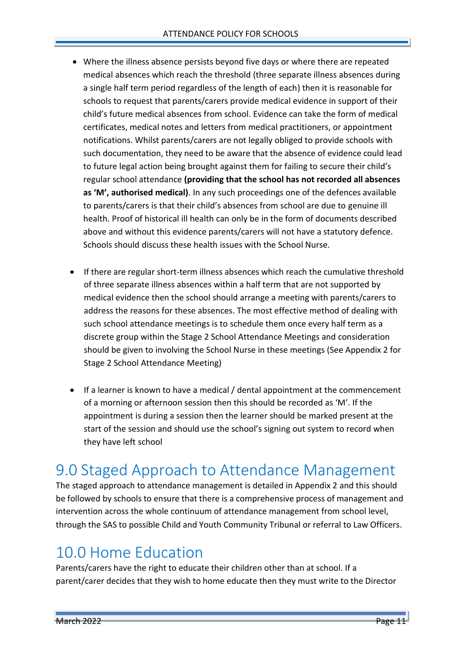- Where the illness absence persists beyond five days or where there are repeated medical absences which reach the threshold (three separate illness absences during a single half term period regardless of the length of each) then it is reasonable for schools to request that parents/carers provide medical evidence in support of their child's future medical absences from school. Evidence can take the form of medical certificates, medical notes and letters from medical practitioners, or appointment notifications. Whilst parents/carers are not legally obliged to provide schools with such documentation, they need to be aware that the absence of evidence could lead to future legal action being brought against them for failing to secure their child's regular school attendance **(providing that the school has not recorded all absences as 'M', authorised medical)**. In any such proceedings one of the defences available to parents/carers is that their child's absences from school are due to genuine ill health. Proof of historical ill health can only be in the form of documents described above and without this evidence parents/carers will not have a statutory defence. Schools should discuss these health issues with the School Nurse.
- If there are regular short-term illness absences which reach the cumulative threshold of three separate illness absences within a half term that are not supported by medical evidence then the school should arrange a meeting with parents/carers to address the reasons for these absences. The most effective method of dealing with such school attendance meetings is to schedule them once every half term as a discrete group within the Stage 2 School Attendance Meetings and consideration should be given to involving the School Nurse in these meetings (See Appendix 2 for Stage 2 School Attendance Meeting)
- If a learner is known to have a medical / dental appointment at the commencement of a morning or afternoon session then this should be recorded as 'M'. If the appointment is during a session then the learner should be marked present at the start of the session and should use the school's signing out system to record when they have left school

### 9.0 Staged Approach to Attendance Management

The staged approach to attendance management is detailed in Appendix 2 and this should be followed by schools to ensure that there is a comprehensive process of management and intervention across the whole continuum of attendance management from school level, through the SAS to possible Child and Youth Community Tribunal or referral to Law Officers.

### 10.0 Home Education

Parents/carers have the right to educate their children other than at school. If a parent/carer decides that they wish to home educate then they must write to the Director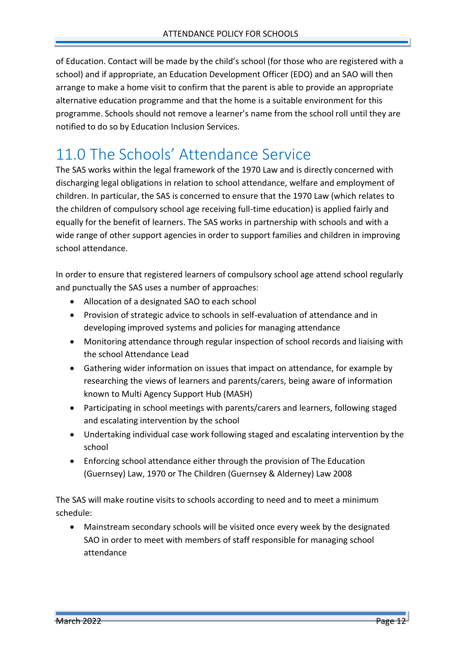of Education. Contact will be made by the child's school (for those who are registered with a school) and if appropriate, an Education Development Officer (EDO) and an SAO will then arrange to make a home visit to confirm that the parent is able to provide an appropriate alternative education programme and that the home is a suitable environment for this programme. Schools should not remove a learner's name from the school roll until they are notified to do so by Education Inclusion Services.

### 11.0 The Schools' Attendance Service

The SAS works within the legal framework of the 1970 Law and is directly concerned with discharging legal obligations in relation to school attendance, welfare and employment of children. In particular, the SAS is concerned to ensure that the 1970 Law (which relates to the children of compulsory school age receiving full-time education) is applied fairly and equally for the benefit of learners. The SAS works in partnership with schools and with a wide range of other support agencies in order to support families and children in improving school attendance.

In order to ensure that registered learners of compulsory school age attend school regularly and punctually the SAS uses a number of approaches:

- Allocation of a designated SAO to each school
- Provision of strategic advice to schools in self-evaluation of attendance and in developing improved systems and policies for managing attendance
- Monitoring attendance through regular inspection of school records and liaising with the school Attendance Lead
- Gathering wider information on issues that impact on attendance, for example by researching the views of learners and parents/carers, being aware of information known to Multi Agency Support Hub (MASH)
- Participating in school meetings with parents/carers and learners, following staged and escalating intervention by the school
- Undertaking individual case work following staged and escalating intervention by the school
- Enforcing school attendance either through the provision of The Education (Guernsey) Law, 1970 or The Children (Guernsey & Alderney) Law 2008

The SAS will make routine visits to schools according to need and to meet a minimum schedule:

• Mainstream secondary schools will be visited once every week by the designated SAO in order to meet with members of staff responsible for managing school attendance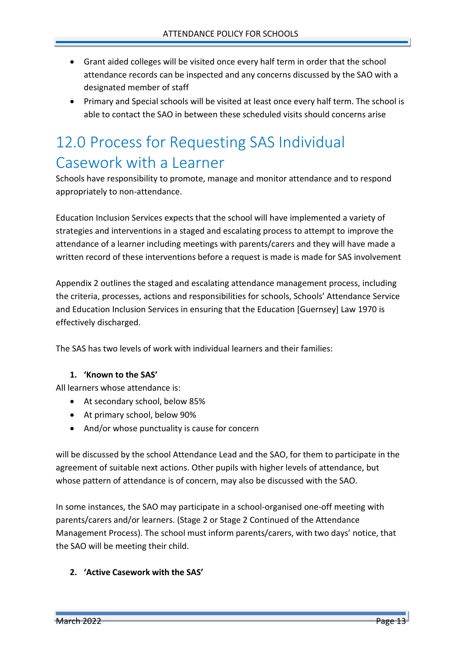- Grant aided colleges will be visited once every half term in order that the school attendance records can be inspected and any concerns discussed by the SAO with a designated member of staff
- Primary and Special schools will be visited at least once every half term. The school is able to contact the SAO in between these scheduled visits should concerns arise

# 12.0 Process for Requesting SAS Individual Casework with a Learner

Schools have responsibility to promote, manage and monitor attendance and to respond appropriately to non-attendance.

Education Inclusion Services expects that the school will have implemented a variety of strategies and interventions in a staged and escalating process to attempt to improve the attendance of a learner including meetings with parents/carers and they will have made a written record of these interventions before a request is made is made for SAS involvement

Appendix 2 outlines the staged and escalating attendance management process, including the criteria, processes, actions and responsibilities for schools, Schools' Attendance Service and Education Inclusion Services in ensuring that the Education [Guernsey] Law 1970 is effectively discharged.

The SAS has two levels of work with individual learners and their families:

#### **1. 'Known to the SAS'**

All learners whose attendance is:

- At secondary school, below 85%
- At primary school, below 90%
- And/or whose punctuality is cause for concern

will be discussed by the school Attendance Lead and the SAO, for them to participate in the agreement of suitable next actions. Other pupils with higher levels of attendance, but whose pattern of attendance is of concern, may also be discussed with the SAO.

In some instances, the SAO may participate in a school-organised one-off meeting with parents/carers and/or learners. (Stage 2 or Stage 2 Continued of the Attendance Management Process). The school must inform parents/carers, with two days' notice, that the SAO will be meeting their child.

#### **2. 'Active Casework with the SAS'**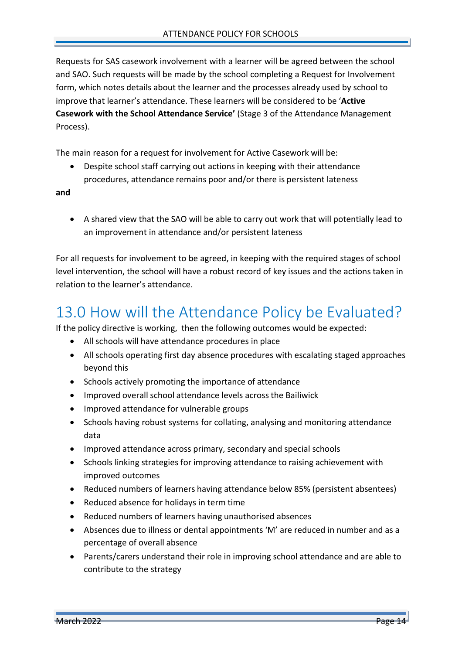Requests for SAS casework involvement with a learner will be agreed between the school and SAO. Such requests will be made by the school completing a Request for Involvement form, which notes details about the learner and the processes already used by school to improve that learner's attendance. These learners will be considered to be '**Active Casework with the School Attendance Service'** (Stage 3 of the Attendance Management Process).

The main reason for a request for involvement for Active Casework will be:

• Despite school staff carrying out actions in keeping with their attendance procedures, attendance remains poor and/or there is persistent lateness

**and**

• A shared view that the SAO will be able to carry out work that will potentially lead to an improvement in attendance and/or persistent lateness

For all requests for involvement to be agreed, in keeping with the required stages of school level intervention, the school will have a robust record of key issues and the actions taken in relation to the learner's attendance.

### 13.0 How will the Attendance Policy be Evaluated?

If the policy directive is working, then the following outcomes would be expected:

- All schools will have attendance procedures in place
- All schools operating first day absence procedures with escalating staged approaches beyond this
- Schools actively promoting the importance of attendance
- Improved overall school attendance levels across the Bailiwick
- Improved attendance for vulnerable groups
- Schools having robust systems for collating, analysing and monitoring attendance data
- Improved attendance across primary, secondary and special schools
- Schools linking strategies for improving attendance to raising achievement with improved outcomes
- Reduced numbers of learners having attendance below 85% (persistent absentees)
- Reduced absence for holidays in term time
- Reduced numbers of learners having unauthorised absences
- Absences due to illness or dental appointments 'M' are reduced in number and as a percentage of overall absence
- Parents/carers understand their role in improving school attendance and are able to contribute to the strategy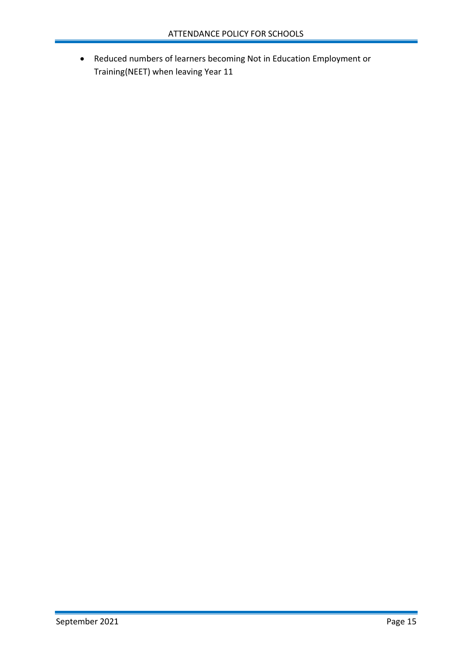• Reduced numbers of learners becoming Not in Education Employment or Training(NEET) when leaving Year 11